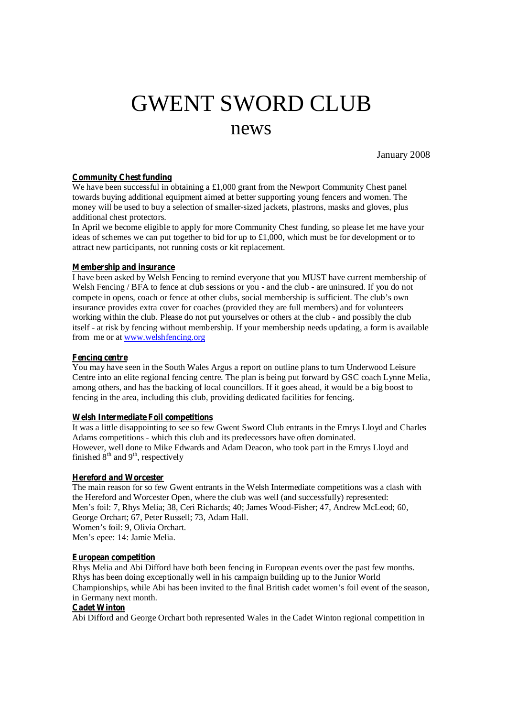# GWENT SWORD CLUB news

January 2008

## **Community Chest funding**

We have been successful in obtaining a £1,000 grant from the Newport Community Chest panel towards buying additional equipment aimed at better supporting young fencers and women. The money will be used to buy a selection of smaller-sized jackets, plastrons, masks and gloves, plus additional chest protectors.

In April we become eligible to apply for more Community Chest funding, so please let me have your ideas of schemes we can put together to bid for up to £1,000, which must be for development or to attract new participants, not running costs or kit replacement.

## **Membership and insurance**

I have been asked by Welsh Fencing to remind everyone that you MUST have current membership of Welsh Fencing / BFA to fence at club sessions or you - and the club - are uninsured. If you do not compete in opens, coach or fence at other clubs, social membership is sufficient. The club's own insurance provides extra cover for coaches (provided they are full members) and for volunteers working within the club. Please do not put yourselves or others at the club - and possibly the club itself - at risk by fencing without membership. If your membership needs updating, a form is available from me or at [www.welshfencing.org](http://www.welshfencing.org)

#### **Fencing centre**

You may have seen in the South Wales Argus a report on outline plans to turn Underwood Leisure Centre into an elite regional fencing centre. The plan is being put forward by GSC coach Lynne Melia, among others, and has the backing of local councillors. If it goes ahead, it would be a big boost to fencing in the area, including this club, providing dedicated facilities for fencing.

## **Welsh Intermediate Foil competitions**

It was a little disappointing to see so few Gwent Sword Club entrants in the Emrys Lloyd and Charles Adams competitions - which this club and its predecessors have often dominated. However, well done to Mike Edwards and Adam Deacon, who took part in the Emrys Lloyd and finished  $8^{\text{th}}$  and  $9^{\text{th}}$ , respectively

#### **Hereford and Worcester**

The main reason for so few Gwent entrants in the Welsh Intermediate competitions was a clash with the Hereford and Worcester Open, where the club was well (and successfully) represented: Men's foil: 7, Rhys Melia; 38, Ceri Richards; 40; James Wood-Fisher; 47, Andrew McLeod; 60, George Orchart; 67, Peter Russell; 73, Adam Hall. Women's foil: 9, Olivia Orchart. Men's epee: 14: Jamie Melia.

#### **European competition**

Rhys Melia and Abi Difford have both been fencing in European events over the past few months. Rhys has been doing exceptionally well in his campaign building up to the Junior World Championships, while Abi has been invited to the final British cadet women's foil event of the season, in Germany next month.

# **Cadet Winton**

Abi Difford and George Orchart both represented Wales in the Cadet Winton regional competition in